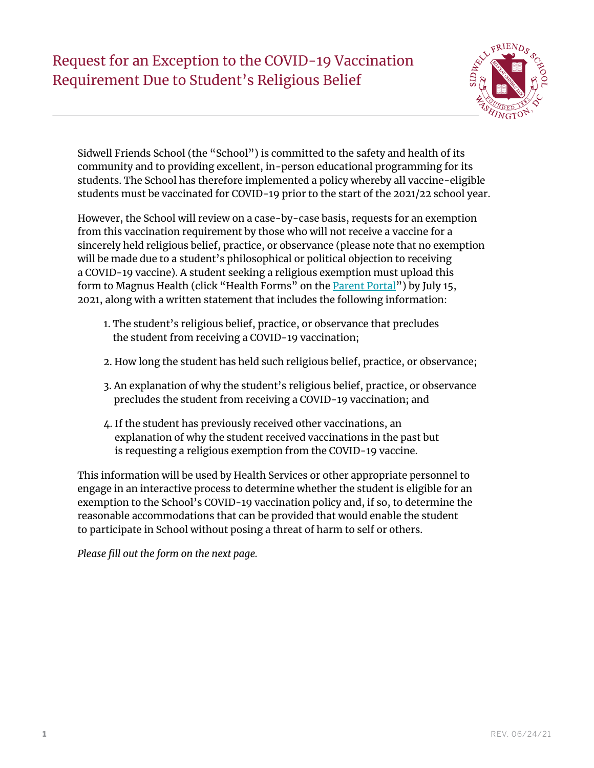## Request for an Exception to the COVID-19 Vaccination Requirement Due to Student's Religious Belief



Sidwell Friends School (the "School") is committed to the safety and health of its community and to providing excellent, in-person educational programming for its students. The School has therefore implemented a policy whereby all vaccine-eligible students must be vaccinated for COVID-19 prior to the start of the 2021/22 school year.

However, the School will review on a case-by-case basis, requests for an exemption from this vaccination requirement by those who will not receive a vaccine for a sincerely held religious belief, practice, or observance (please note that no exemption will be made due to a student's philosophical or political objection to receiving a COVID-19 vaccine). A student seeking a religious exemption must upload this form to Magnus Health (click "Health Forms" on the [Parent Portal](https://www.sidwell.edu/parent)") by July 15, 2021, along with a written statement that includes the following information:

- 1. The student's religious belief, practice, or observance that precludes the student from receiving a COVID-19 vaccination;
- 2. How long the student has held such religious belief, practice, or observance;
- 3. An explanation of why the student's religious belief, practice, or observance precludes the student from receiving a COVID-19 vaccination; and
- 4. If the student has previously received other vaccinations, an explanation of why the student received vaccinations in the past but is requesting a religious exemption from the COVID-19 vaccine.

This information will be used by Health Services or other appropriate personnel to engage in an interactive process to determine whether the student is eligible for an exemption to the School's COVID-19 vaccination policy and, if so, to determine the reasonable accommodations that can be provided that would enable the student to participate in School without posing a threat of harm to self or others.

*Please fill out the form on the next page.*